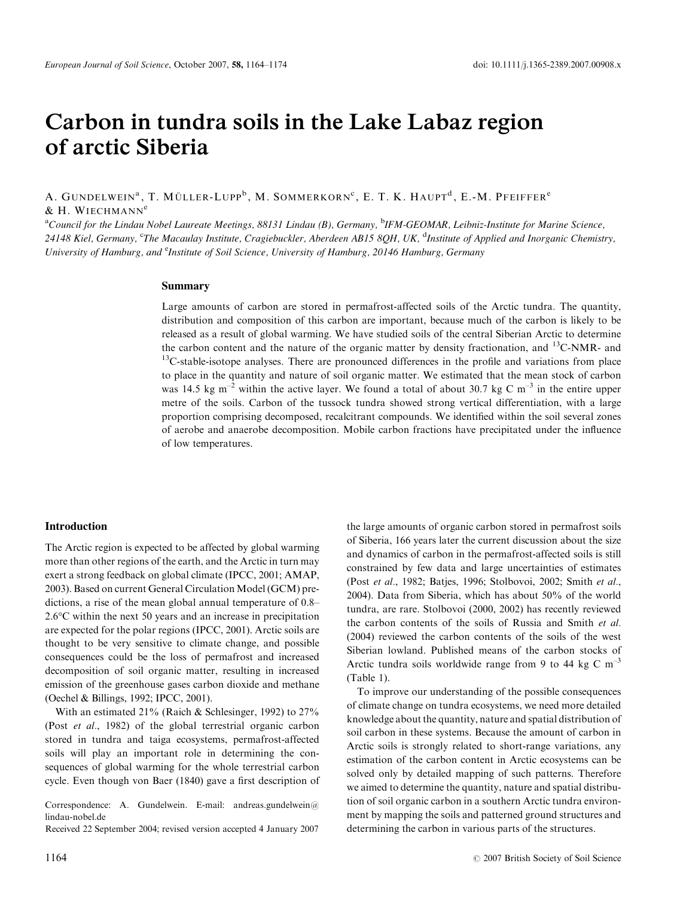# Carbon in tundra soils in the Lake Labaz region of arctic Siberia

A. GUNDELWEINª, T. MÜLLER-LUPP $^{\rm b}$ , M. Sommerkorn $^{\rm c}$ , E. T. K. Haupt $^{\rm d}$ , E.-M. Pfeiffer $^{\rm e}$ & H. WIECHMANN<sup>e</sup>

<sup>a</sup>Council for the Lindau Nobel Laureate Meetings, 88131 Lindau (B), Germany, <sup>b</sup>IFM-GEOMAR, Leibniz-Institute for Marine Science, 24148 Kiel, Germany, <sup>c</sup>The Macaulay Institute, Cragiebuckler, Aberdeen AB15 8QH, UK, <sup>d</sup>Institute of Applied and Inorganic Chemistry, University of Hamburg, and <sup>e</sup>Institute of Soil Science, University of Hamburg, 20146 Hamburg, Germany

#### Summary

Large amounts of carbon are stored in permafrost-affected soils of the Arctic tundra. The quantity, distribution and composition of this carbon are important, because much of the carbon is likely to be released as a result of global warming. We have studied soils of the central Siberian Arctic to determine the carbon content and the nature of the organic matter by density fractionation, and  $^{13}$ C-NMR- and <sup>13</sup>C-stable-isotope analyses. There are pronounced differences in the profile and variations from place to place in the quantity and nature of soil organic matter. We estimated that the mean stock of carbon was 14.5 kg m<sup>-2</sup> within the active layer. We found a total of about 30.7 kg C m<sup>-3</sup> in the entire upper metre of the soils. Carbon of the tussock tundra showed strong vertical differentiation, with a large proportion comprising decomposed, recalcitrant compounds. We identified within the soil several zones of aerobe and anaerobe decomposition. Mobile carbon fractions have precipitated under the influence of low temperatures.

## Introduction

The Arctic region is expected to be affected by global warming more than other regions of the earth, and the Arctic in turn may exert a strong feedback on global climate (IPCC, 2001; AMAP, 2003). Based on current General Circulation Model (GCM) predictions, a rise of the mean global annual temperature of 0.8– 2.6°C within the next 50 years and an increase in precipitation are expected for the polar regions (IPCC, 2001). Arctic soils are thought to be very sensitive to climate change, and possible consequences could be the loss of permafrost and increased decomposition of soil organic matter, resulting in increased emission of the greenhouse gases carbon dioxide and methane (Oechel & Billings, 1992; IPCC, 2001).

With an estimated 21% (Raich & Schlesinger, 1992) to 27% (Post et al., 1982) of the global terrestrial organic carbon stored in tundra and taiga ecosystems, permafrost-affected soils will play an important role in determining the consequences of global warming for the whole terrestrial carbon cycle. Even though von Baer (1840) gave a first description of

Correspondence: A. Gundelwein. E-mail: andreas.gundelwein@ lindau-nobel.de

Received 22 September 2004; revised version accepted 4 January 2007

the large amounts of organic carbon stored in permafrost soils of Siberia, 166 years later the current discussion about the size and dynamics of carbon in the permafrost-affected soils is still constrained by few data and large uncertainties of estimates (Post et al., 1982; Batjes, 1996; Stolbovoi, 2002; Smith et al., 2004). Data from Siberia, which has about 50% of the world tundra, are rare. Stolbovoi (2000, 2002) has recently reviewed the carbon contents of the soils of Russia and Smith et al. (2004) reviewed the carbon contents of the soils of the west Siberian lowland. Published means of the carbon stocks of Arctic tundra soils worldwide range from 9 to 44 kg C  $m^{-3}$ (Table 1).

To improve our understanding of the possible consequences of climate change on tundra ecosystems, we need more detailed knowledge about the quantity, nature and spatial distribution of soil carbon in these systems. Because the amount of carbon in Arctic soils is strongly related to short-range variations, any estimation of the carbon content in Arctic ecosystems can be solved only by detailed mapping of such patterns. Therefore we aimed to determine the quantity, nature and spatial distribution of soil organic carbon in a southern Arctic tundra environment by mapping the soils and patterned ground structures and determining the carbon in various parts of the structures.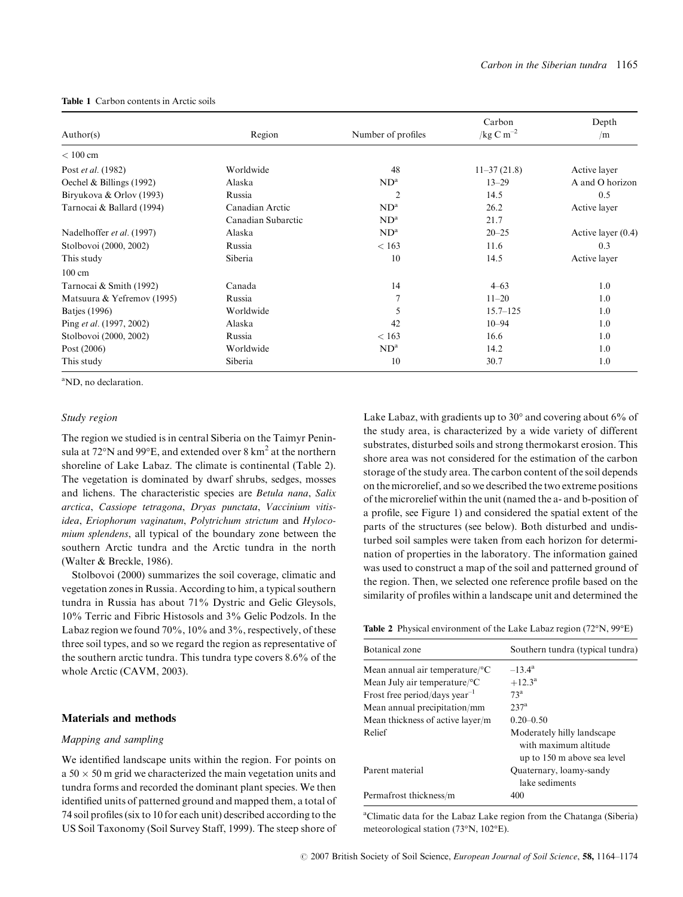| Author(s)                       | Region             | Number of profiles | Carbon<br>/kg C $m^{-2}$ | Depth<br>/m          |
|---------------------------------|--------------------|--------------------|--------------------------|----------------------|
| $< 100$ cm                      |                    |                    |                          |                      |
| Post et al. (1982)              | Worldwide          | 48                 | $11 - 37(21.8)$          | Active layer         |
| Oechel & Billings (1992)        | Alaska             | $ND^a$             | $13 - 29$                | A and O horizon      |
| Biryukova & Orlov (1993)        | Russia             | 2                  | 14.5                     | 0.5                  |
| Tarnocai & Ballard (1994)       | Canadian Arctic    | ND <sup>a</sup>    | 26.2                     | Active layer         |
|                                 | Canadian Subarctic | ND <sup>a</sup>    | 21.7                     |                      |
| Nadelhoffer et al. (1997)       | Alaska             | $ND^a$             | $20 - 25$                | Active layer $(0.4)$ |
| Stolbovoi (2000, 2002)          | Russia             | < 163              | 11.6                     | 0.3                  |
| This study                      | Siberia            | 10                 | 14.5                     | Active layer         |
| $100 \text{ cm}$                |                    |                    |                          |                      |
| Tarnocai & Smith (1992)         | Canada             | 14                 | $4 - 63$                 | 1.0                  |
| Matsuura & Yefremov (1995)      | Russia             |                    | $11 - 20$                | 1.0                  |
| <b>Batjes</b> (1996)            | Worldwide          | 5                  | $15.7 - 125$             | 1.0                  |
| Ping <i>et al.</i> (1997, 2002) | Alaska             | 42                 | $10 - 94$                | 1.0                  |
| Stolbovoi (2000, 2002)          | Russia             | < 163              | 16.6                     | 1.0                  |
| Post (2006)                     | Worldwide          | ND <sup>a</sup>    | 14.2                     | 1.0                  |
| This study                      | Siberia            | 10                 | 30.7                     | 1.0                  |

#### Table 1 Carbon contents in Arctic soils

<sup>a</sup>ND, no declaration.

## Study region

The region we studied is in central Siberia on the Taimyr Peninsula at  $72^{\circ}$ N and  $99^{\circ}$ E, and extended over 8 km<sup>2</sup> at the northern shoreline of Lake Labaz. The climate is continental (Table 2). The vegetation is dominated by dwarf shrubs, sedges, mosses and lichens. The characteristic species are Betula nana, Salix arctica, Cassiope tetragona, Dryas punctata, Vaccinium vitisidea, Eriophorum vaginatum, Polytrichum strictum and Hylocomium splendens, all typical of the boundary zone between the southern Arctic tundra and the Arctic tundra in the north (Walter & Breckle, 1986).

Stolbovoi (2000) summarizes the soil coverage, climatic and vegetation zones in Russia. According to him, a typical southern tundra in Russia has about 71% Dystric and Gelic Gleysols, 10% Terric and Fibric Histosols and 3% Gelic Podzols. In the Labaz region we found 70%, 10% and 3%, respectively, of these three soil types, and so we regard the region as representative of the southern arctic tundra. This tundra type covers 8.6% of the whole Arctic (CAVM, 2003).

## Materials and methods

## Mapping and sampling

We identified landscape units within the region. For points on  $a 50 \times 50$  m grid we characterized the main vegetation units and tundra forms and recorded the dominant plant species. We then identified units of patterned ground and mapped them, a total of 74 soil profiles (six to 10 for each unit) described according to the US Soil Taxonomy (Soil Survey Staff, 1999). The steep shore of Lake Labaz, with gradients up to 30° and covering about 6% of the study area, is characterized by a wide variety of different substrates, disturbed soils and strong thermokarst erosion. This shore area was not considered for the estimation of the carbon storage of the study area. The carbon content of the soil depends on the microrelief, and so we described the two extreme positions of the microrelief within the unit (named the a- and b-position of a profile, see Figure 1) and considered the spatial extent of the parts of the structures (see below). Both disturbed and undisturbed soil samples were taken from each horizon for determination of properties in the laboratory. The information gained was used to construct a map of the soil and patterned ground of the region. Then, we selected one reference profile based on the similarity of profiles within a landscape unit and determined the

Table 2 Physical environment of the Lake Labaz region (72°N, 99°E)

| Botanical zone                               | Southern tundra (typical tundra)                                                   |
|----------------------------------------------|------------------------------------------------------------------------------------|
| Mean annual air temperature/ $\rm ^{\circ}C$ | $-13.4^{\rm a}$                                                                    |
| Mean July air temperature/ $\rm ^{\circ}C$   | $+12.3^{\rm a}$                                                                    |
| Frost free period/days year <sup>-1</sup>    | 73 <sup>a</sup>                                                                    |
| Mean annual precipitation/mm                 | 237 <sup>a</sup>                                                                   |
| Mean thickness of active layer/m             | $0.20 - 0.50$                                                                      |
| Relief                                       | Moderately hilly landscape<br>with maximum altitude<br>up to 150 m above sea level |
| Parent material                              | Quaternary, loamy-sandy<br>lake sediments                                          |
| Permafrost thickness/m                       | 400                                                                                |

<sup>a</sup>Climatic data for the Labaz Lake region from the Chatanga (Siberia) meteorological station (73°N, 102°E).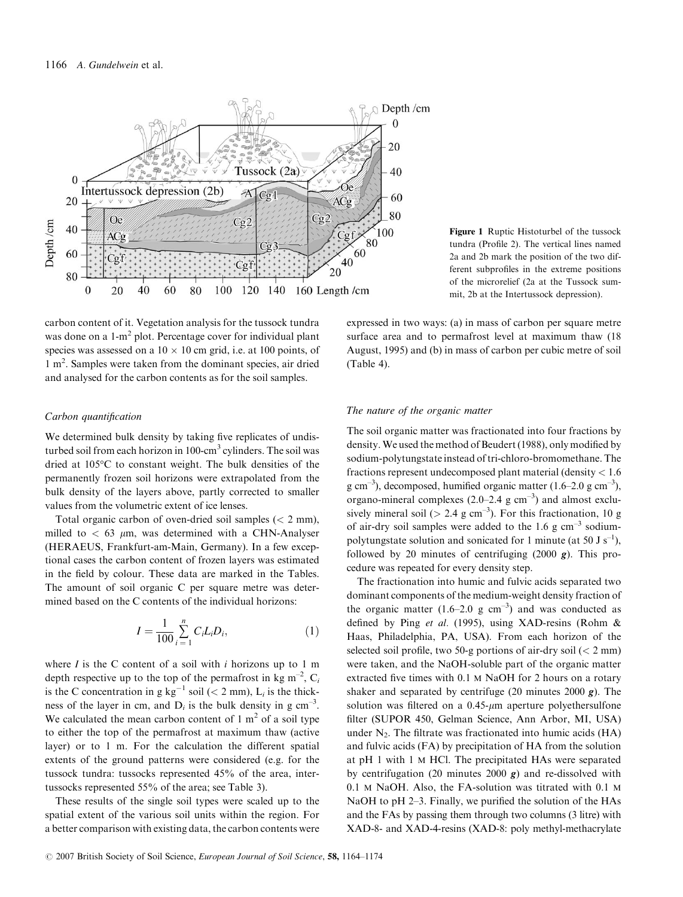

Figure 1 Ruptic Histoturbel of the tussock tundra (Profile 2). The vertical lines named 2a and 2b mark the position of the two different subprofiles in the extreme positions of the microrelief (2a at the Tussock summit, 2b at the Intertussock depression).

carbon content of it. Vegetation analysis for the tussock tundra was done on a 1-m<sup>2</sup> plot. Percentage cover for individual plant species was assessed on a  $10 \times 10$  cm grid, i.e. at 100 points, of 1 m<sup>2</sup> . Samples were taken from the dominant species, air dried and analysed for the carbon contents as for the soil samples.

# Carbon quantification

We determined bulk density by taking five replicates of undisturbed soil from each horizon in  $100 \text{-cm}^3$  cylinders. The soil was dried at 105°C to constant weight. The bulk densities of the permanently frozen soil horizons were extrapolated from the bulk density of the layers above, partly corrected to smaller values from the volumetric extent of ice lenses.

Total organic carbon of oven-dried soil samples  $(< 2$  mm), milled to  $< 63 \mu m$ , was determined with a CHN-Analyser (HERAEUS, Frankfurt-am-Main, Germany). In a few exceptional cases the carbon content of frozen layers was estimated in the field by colour. These data are marked in the Tables. The amount of soil organic C per square metre was determined based on the C contents of the individual horizons:

$$
I = \frac{1}{100} \sum_{i=1}^{n} C_i L_i D_i,
$$
 (1)

where  $I$  is the C content of a soil with  $i$  horizons up to 1 m depth respective up to the top of the permafrost in kg m<sup>-2</sup>,  $C_i$ is the C concentration in g  $kg^{-1}$  soil (< 2 mm),  $L_i$  is the thickness of the layer in cm, and  $D_i$  is the bulk density in g cm<sup>-3</sup>. We calculated the mean carbon content of  $1 \text{ m}^2$  of a soil type to either the top of the permafrost at maximum thaw (active layer) or to 1 m. For the calculation the different spatial extents of the ground patterns were considered (e.g. for the tussock tundra: tussocks represented 45% of the area, intertussocks represented 55% of the area; see Table 3).

These results of the single soil types were scaled up to the spatial extent of the various soil units within the region. For a better comparison with existing data, the carbon contents were (Table 4).

expressed in two ways: (a) in mass of carbon per square metre surface area and to permafrost level at maximum thaw (18 August, 1995) and (b) in mass of carbon per cubic metre of soil

# The nature of the organic matter

The soil organic matter was fractionated into four fractions by density. We used the method of Beudert (1988), only modified by sodium-polytungstate instead of tri-chloro-bromomethane. The fractions represent undecomposed plant material (density < 1.6 g cm<sup>-3</sup>), decomposed, humified organic matter (1.6–2.0 g cm<sup>-3</sup>), organo-mineral complexes  $(2.0-2.4 \text{ g cm}^{-3})$  and almost exclusively mineral soil ( $> 2.4$  g cm<sup>-3</sup>). For this fractionation, 10 g of air-dry soil samples were added to the  $1.6 \text{ g cm}^{-3}$  sodiumpolytungstate solution and sonicated for 1 minute (at 50 J  $s^{-1}$ ), followed by 20 minutes of centrifuging  $(2000 g)$ . This procedure was repeated for every density step.

The fractionation into humic and fulvic acids separated two dominant components of the medium-weight density fraction of the organic matter  $(1.6-2.0 \text{ g cm}^{-3})$  and was conducted as defined by Ping et al. (1995), using XAD-resins (Rohm & Haas, Philadelphia, PA, USA). From each horizon of the selected soil profile, two 50-g portions of air-dry soil  $(< 2$  mm) were taken, and the NaOH-soluble part of the organic matter extracted five times with 0.1 M NaOH for 2 hours on a rotary shaker and separated by centrifuge (20 minutes 2000  $g$ ). The solution was filtered on a  $0.45$ - $\mu$ m aperture polyethersulfone filter (SUPOR 450, Gelman Science, Ann Arbor, MI, USA) under  $N_2$ . The filtrate was fractionated into humic acids (HA) and fulvic acids (FA) by precipitation of HA from the solution at pH 1 with 1 M HCl. The precipitated HAs were separated by centrifugation (20 minutes 2000  $g$ ) and re-dissolved with 0.1 M NaOH. Also, the FA-solution was titrated with 0.1 M NaOH to pH 2–3. Finally, we purified the solution of the HAs and the FAs by passing them through two columns (3 litre) with XAD-8- and XAD-4-resins (XAD-8: poly methyl-methacrylate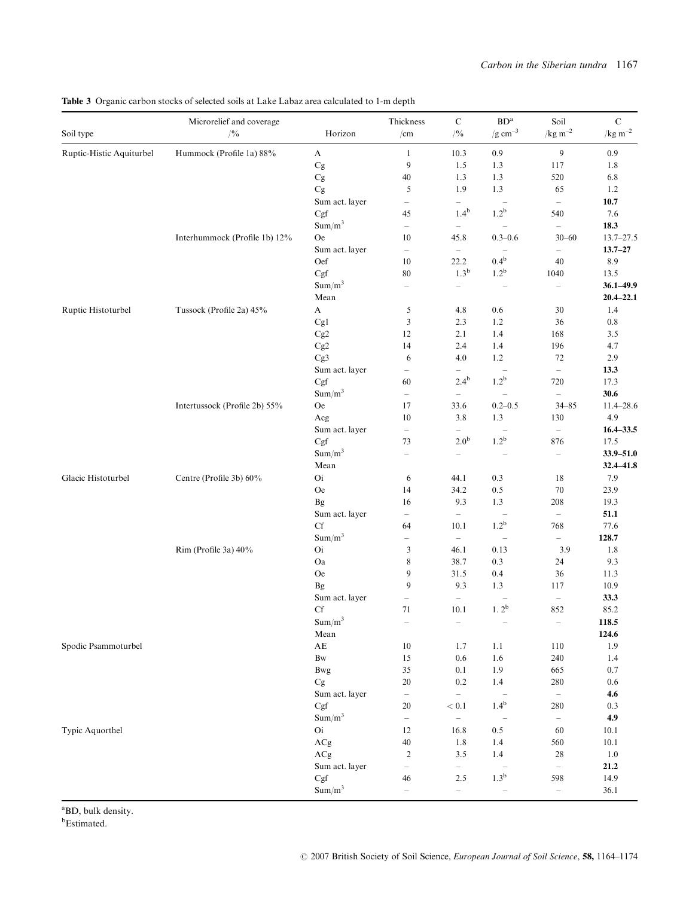|                          | Microrelief and coverage      |                           | Thickness                | ${\bf C}$                         | $\rm BD^a$                        | Soil                              | ${\bf C}$             |
|--------------------------|-------------------------------|---------------------------|--------------------------|-----------------------------------|-----------------------------------|-----------------------------------|-----------------------|
| Soil type                | $/ \sqrt[0]{\hskip -1.0pt 0}$ | Horizon                   | /cm                      | /9/0                              | /g $\rm cm^{-3}$                  | /kg $\mathrm{m}^{-2}$             | /kg $\mathrm{m}^{-2}$ |
| Ruptic-Histic Aquiturbel | Hummock (Profile 1a) 88%      | $\boldsymbol{\mathsf{A}}$ | $\mathbf{1}$             | 10.3                              | 0.9                               | $\overline{9}$                    | $0.9\,$               |
|                          |                               | $\rm{Cg}$                 | 9                        | 1.5                               | 1.3                               | 117                               | 1.8                   |
|                          |                               | Cg                        | $40\,$                   | 1.3                               | 1.3                               | 520                               | 6.8                   |
|                          |                               | Cg                        | 5                        | 1.9                               | 1.3                               | 65                                | 1.2                   |
|                          |                               | Sum act. layer            | $\overline{\phantom{0}}$ | $\overline{\phantom{0}}$          | $\overline{\phantom{0}}$          | $\equiv$                          | 10.7                  |
|                          |                               | Cgf                       | 45                       | 1.4 <sup>b</sup>                  | $1.2^b$                           | 540                               | 7.6                   |
|                          |                               | Sum/m <sup>3</sup>        | $\overline{\phantom{0}}$ | $\hspace{1.0cm} - \hspace{1.0cm}$ |                                   | $\overline{\phantom{0}}$          | 18.3                  |
|                          | Interhummock (Profile 1b) 12% | <b>Oe</b>                 | 10                       | 45.8                              | $0.3 - 0.6$                       | $30 - 60$                         | $13.7 - 27.5$         |
|                          |                               | Sum act. layer            | $\overline{\phantom{0}}$ | $\overline{\phantom{0}}$          | $\overline{\phantom{0}}$          | $\overline{\phantom{0}}$          | $13.7 - 27$           |
|                          |                               | Oef                       | 10                       | 22.2                              | $0.4^{\rm b}$                     | 40                                | 8.9                   |
|                          |                               | Cgf                       | 80                       | 1.3 <sup>b</sup>                  | $1.2^b$                           | 1040                              | 13.5                  |
|                          |                               | Sum/m <sup>3</sup>        |                          | $\overline{\phantom{a}}$          | $\hspace{1.0cm} - \hspace{1.0cm}$ | $\qquad \qquad -$                 | $36.1 - 49.9$         |
|                          |                               | Mean                      |                          |                                   |                                   |                                   | $20.4 - 22.1$         |
| Ruptic Histoturbel       | Tussock (Profile 2a) 45%      | A                         | 5                        | 4.8                               | 0.6                               | 30                                | 1.4                   |
|                          |                               | Cg1                       | $\mathfrak{Z}$           | 2.3                               | 1.2                               | 36                                | $\rm 0.8$             |
|                          |                               | Cg2                       | 12                       | 2.1                               | 1.4                               | 168                               | 3.5                   |
|                          |                               | Cg2                       | 14                       | 2.4                               | 1.4                               | 196                               | 4.7                   |
|                          |                               | Cg3                       | 6                        | 4.0                               | $1.2\,$                           | 72                                | 2.9                   |
|                          |                               | Sum act. layer            | $\overline{\phantom{0}}$ | $\overline{\phantom{0}}$          | $\overline{\phantom{a}}$          | $\overline{\phantom{0}}$          | 13.3                  |
|                          |                               | Cgf                       | 60                       | $2.4^{\rm b}$                     | $1.2^b$                           | 720                               | 17.3                  |
|                          |                               | Sum/m <sup>3</sup>        | $\overline{\phantom{0}}$ | $\overline{\phantom{0}}$          |                                   | $\overline{a}$                    | 30.6                  |
|                          | Intertussock (Profile 2b) 55% | <b>Oe</b>                 | 17                       | 33.6                              | $0.2 - 0.5$                       | $34 - 85$                         | $11.4 - 28.6$         |
|                          |                               | Acg                       | 10                       | 3.8                               | 1.3                               | 130                               | 4.9                   |
|                          |                               | Sum act. layer            | $\overline{\phantom{0}}$ | $\overline{\phantom{0}}$          | $\qquad \qquad -$                 | $\overline{\phantom{0}}$          | $16.4 - 33.5$         |
|                          |                               | Cgf                       | 73                       | 2.0 <sup>b</sup>                  | $1.2^b$                           | 876                               | 17.5                  |
|                          |                               | Sum/m <sup>3</sup>        | $\overline{\phantom{0}}$ | $\overline{\phantom{0}}$          |                                   | $\overline{\phantom{0}}$          | 33.9-51.0             |
|                          |                               | Mean                      |                          |                                   |                                   |                                   | 32.4-41.8             |
| Glacic Histoturbel       | Centre (Profile 3b) 60%       | <b>Oi</b>                 | 6                        | 44.1                              | 0.3                               | 18                                | 7.9                   |
|                          |                               | <b>Oe</b>                 | 14                       | 34.2                              | $0.5\,$                           | 70                                | 23.9                  |
|                          |                               | <b>Bg</b>                 | 16                       | 9.3                               | 1.3                               | 208                               | 19.3                  |
|                          |                               | Sum act. layer            | $\overline{\phantom{0}}$ | $\overline{\phantom{0}}$          | $\overline{\phantom{a}}$          | $\hspace{0.1in} - \hspace{0.1in}$ | 51.1                  |
|                          |                               | Cf                        | 64                       | 10.1                              | $1.2^{\rm b}$                     | 768                               | 77.6                  |
|                          |                               | Sum/m <sup>3</sup>        | $\qquad \qquad -$        | $\overline{\phantom{0}}$          | $\overline{\phantom{a}}$          | $\overline{\phantom{0}}$          | 128.7                 |
|                          | Rim (Profile 3a) 40%          | Oi                        |                          | 46.1                              | 0.13                              | 3.9                               | $1.8\,$               |
|                          |                               |                           | 3                        |                                   |                                   | 24                                |                       |
|                          |                               | Oa                        | $\,$ 8 $\,$              | 38.7                              | 0.3                               |                                   | 9.3                   |
|                          |                               | <b>Oe</b>                 | 9                        | 31.5                              | 0.4                               | 36                                | 11.3                  |
|                          |                               | <b>Bg</b>                 | 9                        | 9.3                               | 1.3                               | 117                               | 10.9                  |
|                          |                               | Sum act. layer            |                          | $\overline{\phantom{0}}$          |                                   | $\overline{a}$                    | 33.3                  |
|                          |                               | Cf                        | 71                       | 10.1                              | $1.2^{b}$                         | 852                               | 85.2                  |
|                          |                               | $\text{Sum/m}^3$          |                          |                                   |                                   |                                   | 118.5                 |
|                          |                               | Mean                      |                          |                                   |                                   |                                   | 124.6                 |
| Spodic Psammoturbel      |                               | $\mathbf{A}\mathbf{E}$    | $10\,$                   | 1.7                               | 1.1                               | 110                               | 1.9                   |
|                          |                               | $\mathbf{B}\mathbf{w}$    | 15                       | $0.6\,$                           | 1.6                               | 240                               | 1.4                   |
|                          |                               | Bwg                       | 35                       | 0.1                               | 1.9                               | 665                               | 0.7                   |
|                          |                               | Cg                        | $20\,$                   | $0.2\,$                           | 1.4                               | 280                               | $0.6\,$               |
|                          |                               | Sum act. layer            | $\qquad \qquad -$        | $\overline{\phantom{0}}$          | $\overline{\phantom{a}}$          | $\overline{\phantom{a}}$          | 4.6                   |
|                          |                               | $Cgf$                     | 20                       | < 0.1                             | $1.4^b$                           | 280                               | 0.3                   |
|                          |                               | Sum/m <sup>3</sup>        | $\overline{\phantom{a}}$ | $\overline{\phantom{0}}$          | $\overline{\phantom{a}}$          | $\overline{\phantom{a}}$          | 4.9                   |
| Typic Aquorthel          |                               | Oi                        | 12                       | 16.8                              | $0.5\,$                           | 60                                | 10.1                  |
|                          |                               | ACg                       | $40\,$                   | 1.8                               | 1.4                               | 560                               | 10.1                  |
|                          |                               | ACg                       | $\overline{2}$           | 3.5                               | 1.4                               | $28\,$                            | $1.0\,$               |
|                          |                               | Sum act. layer            | $\overline{\phantom{a}}$ | $\overline{\phantom{0}}$          | $\hspace{1.0cm} - \hspace{1.0cm}$ | $\overline{\phantom{0}}$          | 21.2                  |
|                          |                               | Cgf                       | 46                       | $2.5\,$                           | 1.3 <sup>b</sup>                  | 598                               | 14.9                  |
|                          |                               | Sum/m <sup>3</sup>        | $\overline{\phantom{a}}$ | $\overline{\phantom{0}}$          | $\qquad \qquad -$                 | $\overline{\phantom{0}}$          | 36.1                  |

Table 3 Organic carbon stocks of selected soils at Lake Labaz area calculated to 1-m depth

<sup>a</sup>BD, bulk density.

b Estimated.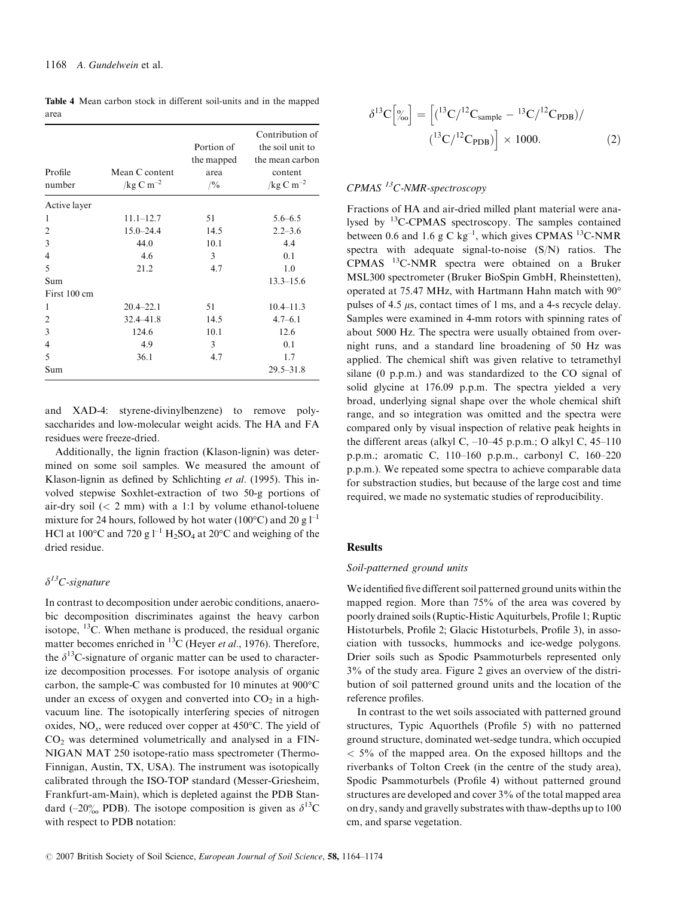| Profile<br>number | Mean C content<br>/kg C m <sup>-2</sup> | Portion of<br>the mapped<br>area<br>/9/0 | Contribution of<br>the soil unit to<br>the mean carbon<br>content<br>/kg C m <sup><math>-2</math></sup> |
|-------------------|-----------------------------------------|------------------------------------------|---------------------------------------------------------------------------------------------------------|
| Active layer      |                                         |                                          |                                                                                                         |
| 1                 | $11.1 - 12.7$                           | 51                                       | $5.6 - 6.5$                                                                                             |
| $\overline{2}$    | $15.0 - 24.4$                           | 14.5                                     | $2.2 - 3.6$                                                                                             |
| 3                 | 44.0                                    | 10.1                                     | 4.4                                                                                                     |
| 4                 | 4.6                                     | 3                                        | 0.1                                                                                                     |
| 5                 | 21.2                                    | 4.7                                      | 1.0                                                                                                     |
| Sum               |                                         |                                          | $13.3 - 15.6$                                                                                           |
| First 100 cm      |                                         |                                          |                                                                                                         |
| 1                 | $20.4 - 22.1$                           | 51                                       | $10.4 - 11.3$                                                                                           |
| $\overline{2}$    | $32.4 - 41.8$                           | 14.5                                     | $4.7 - 6.1$                                                                                             |
| 3                 | 124.6                                   | 10.1                                     | 12.6                                                                                                    |
| $\overline{4}$    | 4.9                                     | 3                                        | 0.1                                                                                                     |
| 5                 | 36.1                                    | 4.7                                      | 1.7                                                                                                     |
| Sum               |                                         |                                          | $29.5 - 31.8$                                                                                           |

Table 4 Mean carbon stock in different soil-units and in the mapped area

and XAD-4: styrene-divinylbenzene) to remove polysaccharides and low-molecular weight acids. The HA and FA residues were freeze-dried.

Additionally, the lignin fraction (Klason-lignin) was determined on some soil samples. We measured the amount of Klason-lignin as defined by Schlichting et al. (1995). This involved stepwise Soxhlet-extraction of two 50-g portions of air-dry soil  $(< 2$  mm) with a 1:1 by volume ethanol-toluene mixture for 24 hours, followed by hot water (100 $^{\circ}$ C) and 20 g l<sup>-1</sup> HCl at 100°C and 720 g  $I^{-1}$  H<sub>2</sub>SO<sub>4</sub> at 20°C and weighing of the dried residue.

# $\delta^{13}$ C-signature

In contrast to decomposition under aerobic conditions, anaerobic decomposition discriminates against the heavy carbon isotope, 13C. When methane is produced, the residual organic matter becomes enriched in  ${}^{13}C$  (Heyer *et al.*, 1976). Therefore, the  $\delta^{13}$ C-signature of organic matter can be used to characterize decomposition processes. For isotope analysis of organic carbon, the sample-C was combusted for 10 minutes at 900°C under an excess of oxygen and converted into  $CO<sub>2</sub>$  in a highvacuum line. The isotopically interfering species of nitrogen oxides,  $NO_x$ , were reduced over copper at 450 $°C$ . The yield of  $CO<sub>2</sub>$  was determined volumetrically and analysed in a FIN-NIGAN MAT 250 isotope-ratio mass spectrometer (Thermo-Finnigan, Austin, TX, USA). The instrument was isotopically calibrated through the ISO-TOP standard (Messer-Griesheim, Frankfurt-am-Main), which is depleted against the PDB Standard (–20 $\%$  PDB). The isotope composition is given as  $\delta^{13}$ C with respect to PDB notation:

$$
\delta^{13}C\left[\%_{\text{o}}\right] = \left[\left(\frac{^{13}C}{^{12}C_{\text{sample}}} - \frac{^{13}C}{^{12}C_{\text{PDB}}}\right) / \frac{13C}{^{13}C^{12}C_{\text{PDB}}}\right] \times 1000. \tag{2}
$$

# CPMAS 13C-NMR-spectroscopy

Fractions of HA and air-dried milled plant material were analysed by 13C-CPMAS spectroscopy. The samples contained between 0.6 and 1.6 g C  $kg^{-1}$ , which gives CPMAS <sup>13</sup>C-NMR spectra with adequate signal-to-noise (S/N) ratios. The CPMAS 13C-NMR spectra were obtained on a Bruker MSL300 spectrometer (Bruker BioSpin GmbH, Rheinstetten), operated at 75.47 MHz, with Hartmann Hahn match with 90° pulses of 4.5 ms, contact times of 1 ms, and a 4-s recycle delay. Samples were examined in 4-mm rotors with spinning rates of about 5000 Hz. The spectra were usually obtained from overnight runs, and a standard line broadening of 50 Hz was applied. The chemical shift was given relative to tetramethyl silane (0 p.p.m.) and was standardized to the CO signal of solid glycine at 176.09 p.p.m. The spectra yielded a very broad, underlying signal shape over the whole chemical shift range, and so integration was omitted and the spectra were compared only by visual inspection of relative peak heights in the different areas (alkyl C,  $-10-45$  p.p.m.; O alkyl C,  $45-110$ p.p.m.; aromatic C, 110–160 p.p.m., carbonyl C, 160–220 p.p.m.). We repeated some spectra to achieve comparable data for substraction studies, but because of the large cost and time required, we made no systematic studies of reproducibility.

## Results

## Soil-patterned ground units

We identified five different soil patterned ground units within the mapped region. More than 75% of the area was covered by poorly drained soils (Ruptic-Histic Aquiturbels, Profile 1; Ruptic Histoturbels, Profile 2; Glacic Histoturbels, Profile 3), in association with tussocks, hummocks and ice-wedge polygons. Drier soils such as Spodic Psammoturbels represented only 3% of the study area. Figure 2 gives an overview of the distribution of soil patterned ground units and the location of the reference profiles.

In contrast to the wet soils associated with patterned ground structures, Typic Aquorthels (Profile 5) with no patterned ground structure, dominated wet-sedge tundra, which occupied  $<$  5% of the mapped area. On the exposed hilltops and the riverbanks of Tolton Creek (in the centre of the study area), Spodic Psammoturbels (Profile 4) without patterned ground structures are developed and cover 3% of the total mapped area on dry, sandy and gravelly substrates with thaw-depths up to 100 cm, and sparse vegetation.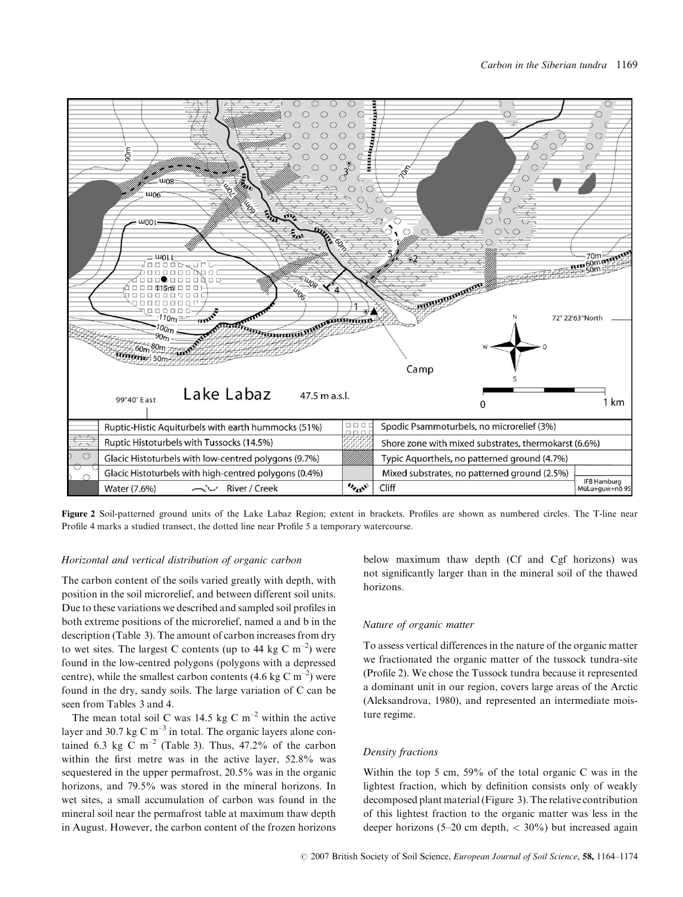

Figure 2 Soil-patterned ground units of the Lake Labaz Region; extent in brackets. Profiles are shown as numbered circles. The T-line near Profile 4 marks a studied transect, the dotted line near Profile 5 a temporary watercourse.

#### Horizontal and vertical distribution of organic carbon

The carbon content of the soils varied greatly with depth, with position in the soil microrelief, and between different soil units. Due to these variations we described and sampled soil profiles in both extreme positions of the microrelief, named a and b in the description (Table 3). The amount of carbon increases from dry to wet sites. The largest C contents (up to 44 kg C  $\text{m}^{-2}$ ) were found in the low-centred polygons (polygons with a depressed centre), while the smallest carbon contents (4.6 kg C  $\text{m}^{-2}$ ) were found in the dry, sandy soils. The large variation of C can be seen from Tables 3 and 4.

The mean total soil C was 14.5 kg C  $m^{-2}$  within the active layer and 30.7 kg C  $m^{-3}$  in total. The organic layers alone contained 6.3 kg C  $m^{-2}$  (Table 3). Thus, 47.2% of the carbon within the first metre was in the active layer, 52.8% was sequestered in the upper permafrost, 20.5% was in the organic horizons, and 79.5% was stored in the mineral horizons. In wet sites, a small accumulation of carbon was found in the mineral soil near the permafrost table at maximum thaw depth in August. However, the carbon content of the frozen horizons

below maximum thaw depth (Cf and Cgf horizons) was not significantly larger than in the mineral soil of the thawed horizons.

# Nature of organic matter

To assess vertical differences in the nature of the organic matter we fractionated the organic matter of the tussock tundra-site (Profile 2). We chose the Tussock tundra because it represented a dominant unit in our region, covers large areas of the Arctic (Aleksandrova, 1980), and represented an intermediate moisture regime.

# Density fractions

Within the top 5 cm,  $59\%$  of the total organic C was in the lightest fraction, which by definition consists only of weakly decomposed plant material (Figure 3). The relative contribution of this lightest fraction to the organic matter was less in the deeper horizons (5–20 cm depth,  $<$  30%) but increased again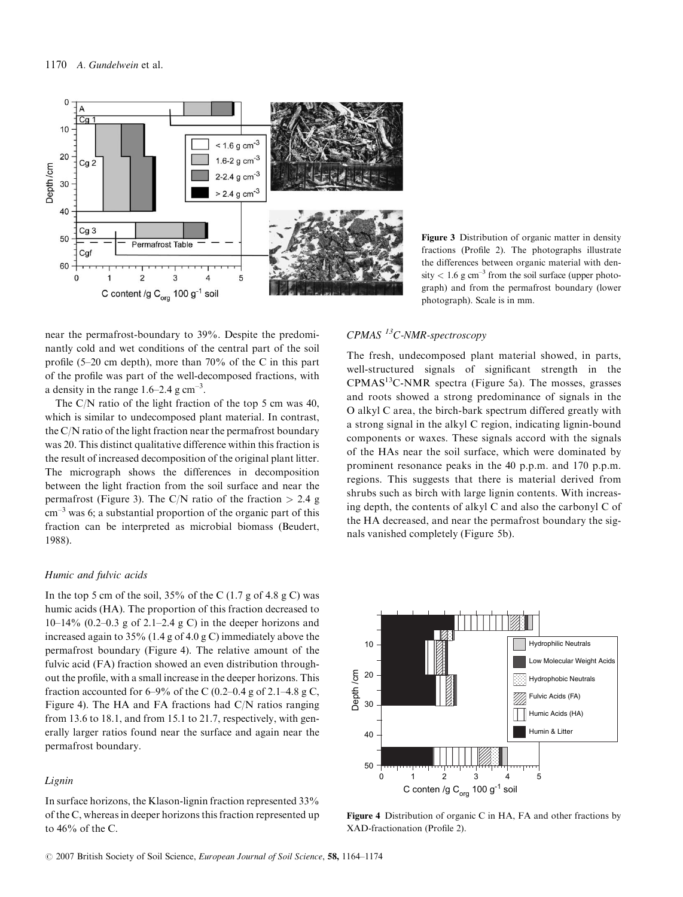

Figure 3 Distribution of organic matter in density fractions (Profile 2). The photographs illustrate the differences between organic material with density  $< 1.6$  g cm<sup>-3</sup> from the soil surface (upper photograph) and from the permafrost boundary (lower photograph). Scale is in mm.

near the permafrost-boundary to 39%. Despite the predominantly cold and wet conditions of the central part of the soil profile (5–20 cm depth), more than 70% of the C in this part of the profile was part of the well-decomposed fractions, with a density in the range  $1.6-2.4$  g cm<sup>-3</sup>.

The C/N ratio of the light fraction of the top 5 cm was 40, which is similar to undecomposed plant material. In contrast, the C/N ratio of the light fraction near the permafrost boundary was 20. This distinct qualitative difference within this fraction is the result of increased decomposition of the original plant litter. The micrograph shows the differences in decomposition between the light fraction from the soil surface and near the permafrost (Figure 3). The C/N ratio of the fraction  $> 2.4$  g  $\text{cm}^{-3}$  was 6; a substantial proportion of the organic part of this fraction can be interpreted as microbial biomass (Beudert, 1988).

#### Humic and fulvic acids

In the top 5 cm of the soil,  $35\%$  of the C (1.7 g of 4.8 g C) was humic acids (HA). The proportion of this fraction decreased to 10–14% (0.2–0.3 g of 2.1–2.4 g C) in the deeper horizons and increased again to  $35\%$  (1.4 g of 4.0 g C) immediately above the permafrost boundary (Figure 4). The relative amount of the fulvic acid (FA) fraction showed an even distribution throughout the profile, with a small increase in the deeper horizons. This fraction accounted for  $6-9\%$  of the C (0.2–0.4 g of 2.1–4.8 g C, Figure 4). The HA and FA fractions had C/N ratios ranging from 13.6 to 18.1, and from 15.1 to 21.7, respectively, with generally larger ratios found near the surface and again near the permafrost boundary.

# Lignin

In surface horizons, the Klason-lignin fraction represented 33% of the C, whereas in deeper horizons this fraction represented up to 46% of the C.

# CPMAS<sup>13</sup>C-NMR-spectroscopy

The fresh, undecomposed plant material showed, in parts, well-structured signals of significant strength in the  $CPMAS<sup>13</sup>C-NMR$  spectra (Figure 5a). The mosses, grasses and roots showed a strong predominance of signals in the O alkyl C area, the birch-bark spectrum differed greatly with a strong signal in the alkyl C region, indicating lignin-bound components or waxes. These signals accord with the signals of the HAs near the soil surface, which were dominated by prominent resonance peaks in the 40 p.p.m. and 170 p.p.m. regions. This suggests that there is material derived from shrubs such as birch with large lignin contents. With increasing depth, the contents of alkyl C and also the carbonyl C of the HA decreased, and near the permafrost boundary the signals vanished completely (Figure 5b).



Figure 4 Distribution of organic C in HA, FA and other fractions by XAD-fractionation (Profile 2).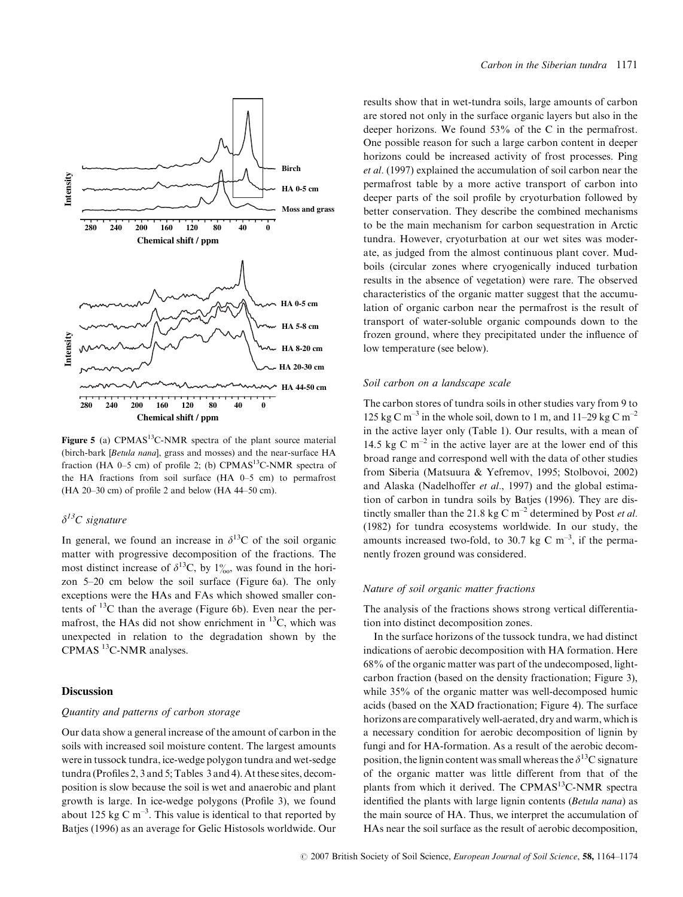

Figure 5 (a)  $CPMAS^{13}C-NMR$  spectra of the plant source material (birch-bark [Betula nana], grass and mosses) and the near-surface HA fraction (HA  $0-5$  cm) of profile 2; (b) CPMAS<sup>13</sup>C-NMR spectra of the HA fractions from soil surface (HA 0–5 cm) to permafrost (HA 20–30 cm) of profile 2 and below (HA 44–50 cm).

# $\delta^{13}C$  signature

In general, we found an increase in  $\delta^{13}$ C of the soil organic matter with progressive decomposition of the fractions. The most distinct increase of  $\delta^{13}$ C, by  $1\%_{.09}$ , was found in the horizon 5–20 cm below the soil surface (Figure 6a). The only exceptions were the HAs and FAs which showed smaller contents of  $^{13}$ C than the average (Figure 6b). Even near the permafrost, the HAs did not show enrichment in  $^{13}C$ , which was unexpected in relation to the degradation shown by the CPMAS<sup>13</sup>C-NMR analyses.

#### **Discussion**

## Quantity and patterns of carbon storage

Our data show a general increase of the amount of carbon in the soils with increased soil moisture content. The largest amounts were in tussock tundra, ice-wedge polygon tundra and wet-sedge tundra (Profiles 2, 3 and 5; Tables 3 and 4). At these sites, decomposition is slow because the soil is wet and anaerobic and plant growth is large. In ice-wedge polygons (Profile 3), we found about 125 kg C  $\text{m}^{-3}$ . This value is identical to that reported by Baties (1996) as an average for Gelic Histosols worldwide. Our

results show that in wet-tundra soils, large amounts of carbon are stored not only in the surface organic layers but also in the deeper horizons. We found 53% of the C in the permafrost. One possible reason for such a large carbon content in deeper horizons could be increased activity of frost processes. Ping et al. (1997) explained the accumulation of soil carbon near the permafrost table by a more active transport of carbon into deeper parts of the soil profile by cryoturbation followed by better conservation. They describe the combined mechanisms to be the main mechanism for carbon sequestration in Arctic tundra. However, cryoturbation at our wet sites was moderate, as judged from the almost continuous plant cover. Mudboils (circular zones where cryogenically induced turbation results in the absence of vegetation) were rare. The observed characteristics of the organic matter suggest that the accumulation of organic carbon near the permafrost is the result of transport of water-soluble organic compounds down to the frozen ground, where they precipitated under the influence of low temperature (see below).

# Soil carbon on a landscape scale

The carbon stores of tundra soils in other studies vary from 9 to 125 kg C m<sup>-3</sup> in the whole soil, down to 1 m, and 11–29 kg C m<sup>-2</sup> in the active layer only (Table 1). Our results, with a mean of 14.5 kg C  $m^{-2}$  in the active layer are at the lower end of this broad range and correspond well with the data of other studies from Siberia (Matsuura & Yefremov, 1995; Stolbovoi, 2002) and Alaska (Nadelhoffer et al., 1997) and the global estimation of carbon in tundra soils by Batjes (1996). They are distinctly smaller than the 21.8 kg C  $\text{m}^{-2}$  determined by Post *et al.* (1982) for tundra ecosystems worldwide. In our study, the amounts increased two-fold, to 30.7 kg C  $\text{m}^{-3}$ , if the permanently frozen ground was considered.

# Nature of soil organic matter fractions

The analysis of the fractions shows strong vertical differentiation into distinct decomposition zones.

In the surface horizons of the tussock tundra, we had distinct indications of aerobic decomposition with HA formation. Here 68% of the organic matter was part of the undecomposed, lightcarbon fraction (based on the density fractionation; Figure 3), while 35% of the organic matter was well-decomposed humic acids (based on the XAD fractionation; Figure 4). The surface horizons are comparatively well-aerated, dry and warm, which is a necessary condition for aerobic decomposition of lignin by fungi and for HA-formation. As a result of the aerobic decomposition, the lignin content was small whereas the  $\delta^{13}$ C signature of the organic matter was little different from that of the plants from which it derived. The CPMAS<sup>13</sup>C-NMR spectra identified the plants with large lignin contents (Betula nana) as the main source of HA. Thus, we interpret the accumulation of HAs near the soil surface as the result of aerobic decomposition,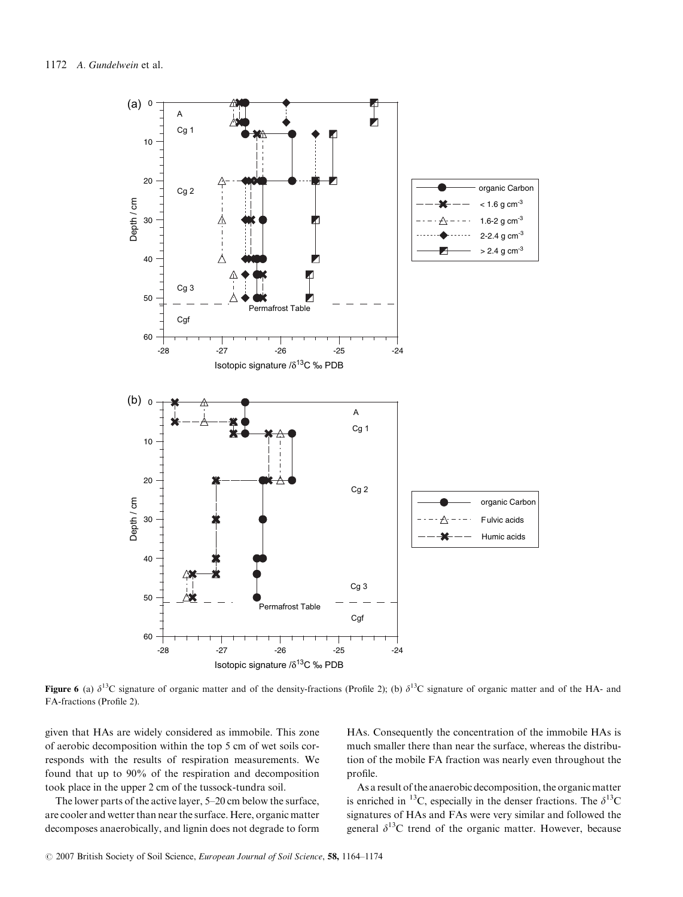

Figure 6 (a)  $\delta^{13}$ C signature of organic matter and of the density-fractions (Profile 2); (b)  $\delta^{13}$ C signature of organic matter and of the HA- and FA-fractions (Profile 2).

given that HAs are widely considered as immobile. This zone of aerobic decomposition within the top 5 cm of wet soils corresponds with the results of respiration measurements. We found that up to 90% of the respiration and decomposition took place in the upper 2 cm of the tussock-tundra soil.

The lower parts of the active layer, 5–20 cm below the surface, are cooler and wetter than near the surface. Here, organic matter decomposes anaerobically, and lignin does not degrade to form

HAs. Consequently the concentration of the immobile HAs is much smaller there than near the surface, whereas the distribution of the mobile FA fraction was nearly even throughout the profile.

As a result of the anaerobic decomposition, the organic matter is enriched in <sup>13</sup>C, especially in the denser fractions. The  $\delta^{13}$ C signatures of HAs and FAs were very similar and followed the general  $\delta^{13}$ C trend of the organic matter. However, because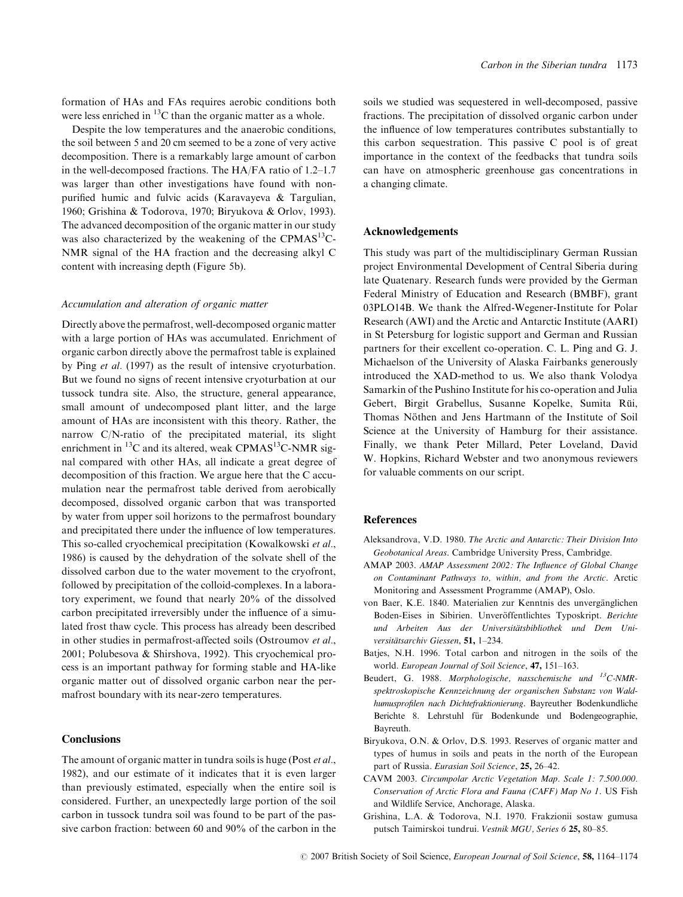formation of HAs and FAs requires aerobic conditions both were less enriched in <sup>13</sup>C than the organic matter as a whole.

Despite the low temperatures and the anaerobic conditions, the soil between 5 and 20 cm seemed to be a zone of very active decomposition. There is a remarkably large amount of carbon in the well-decomposed fractions. The HA/FA ratio of 1.2–1.7 was larger than other investigations have found with nonpurified humic and fulvic acids (Karavayeva & Targulian, 1960; Grishina & Todorova, 1970; Biryukova & Orlov, 1993). The advanced decomposition of the organic matter in our study was also characterized by the weakening of the CPMAS<sup>13</sup>C-NMR signal of the HA fraction and the decreasing alkyl C content with increasing depth (Figure 5b).

#### Accumulation and alteration of organic matter

Directly above the permafrost, well-decomposed organic matter with a large portion of HAs was accumulated. Enrichment of organic carbon directly above the permafrost table is explained by Ping et al. (1997) as the result of intensive cryoturbation. But we found no signs of recent intensive cryoturbation at our tussock tundra site. Also, the structure, general appearance, small amount of undecomposed plant litter, and the large amount of HAs are inconsistent with this theory. Rather, the narrow C/N-ratio of the precipitated material, its slight enrichment in  ${}^{13}C$  and its altered, weak CPMAS<sup>13</sup>C-NMR signal compared with other HAs, all indicate a great degree of decomposition of this fraction. We argue here that the C accumulation near the permafrost table derived from aerobically decomposed, dissolved organic carbon that was transported by water from upper soil horizons to the permafrost boundary and precipitated there under the influence of low temperatures. This so-called cryochemical precipitation (Kowalkowski et al., 1986) is caused by the dehydration of the solvate shell of the dissolved carbon due to the water movement to the cryofront, followed by precipitation of the colloid-complexes. In a laboratory experiment, we found that nearly 20% of the dissolved carbon precipitated irreversibly under the influence of a simulated frost thaw cycle. This process has already been described in other studies in permafrost-affected soils (Ostroumov et al., 2001; Polubesova & Shirshova, 1992). This cryochemical process is an important pathway for forming stable and HA-like organic matter out of dissolved organic carbon near the permafrost boundary with its near-zero temperatures.

# Conclusions

The amount of organic matter in tundra soils is huge (Post et al., 1982), and our estimate of it indicates that it is even larger than previously estimated, especially when the entire soil is considered. Further, an unexpectedly large portion of the soil carbon in tussock tundra soil was found to be part of the passive carbon fraction: between 60 and 90% of the carbon in the

soils we studied was sequestered in well-decomposed, passive fractions. The precipitation of dissolved organic carbon under the influence of low temperatures contributes substantially to this carbon sequestration. This passive C pool is of great importance in the context of the feedbacks that tundra soils can have on atmospheric greenhouse gas concentrations in a changing climate.

#### Acknowledgements

This study was part of the multidisciplinary German Russian project Environmental Development of Central Siberia during late Quatenary. Research funds were provided by the German Federal Ministry of Education and Research (BMBF), grant 03PLO14B. We thank the Alfred-Wegener-Institute for Polar Research (AWI) and the Arctic and Antarctic Institute (AARI) in St Petersburg for logistic support and German and Russian partners for their excellent co-operation. C. L. Ping and G. J. Michaelson of the University of Alaska Fairbanks generously introduced the XAD-method to us. We also thank Volodya Samarkin of the Pushino Institute for his co-operation and Julia Gebert, Birgit Grabellus, Susanne Kopelke, Sumita Rüi, Thomas Nöthen and Jens Hartmann of the Institute of Soil Science at the University of Hamburg for their assistance. Finally, we thank Peter Millard, Peter Loveland, David W. Hopkins, Richard Webster and two anonymous reviewers for valuable comments on our script.

# References

- Aleksandrova, V.D. 1980. The Arctic and Antarctic: Their Division Into Geobotanical Areas. Cambridge University Press, Cambridge.
- AMAP 2003. AMAP Assessment 2002: The Influence of Global Change on Contaminant Pathways to, within, and from the Arctic. Arctic Monitoring and Assessment Programme (AMAP), Oslo.
- von Baer, K.E. 1840. Materialien zur Kenntnis des unvergänglichen Boden-Eises in Sibirien. Unveröffentlichtes Typoskript. Berichte und Arbeiten Aus der Universitätsbibliothek und Dem Universitätsarchiv Giessen, 51, 1-234.
- Batjes, N.H. 1996. Total carbon and nitrogen in the soils of the world. European Journal of Soil Science, 47, 151–163.
- Beudert, G. 1988. Morphologische, nasschemische und <sup>13</sup>C-NMRspektroskopische Kennzeichnung der organischen Substanz von Waldhumusprofilen nach Dichtefraktionierung. Bayreuther Bodenkundliche Berichte 8. Lehrstuhl für Bodenkunde und Bodengeographie, Bayreuth.
- Biryukova, O.N. & Orlov, D.S. 1993. Reserves of organic matter and types of humus in soils and peats in the north of the European part of Russia. Eurasian Soil Science, 25, 26–42.
- CAVM 2003. Circumpolar Arctic Vegetation Map. Scale 1: 7.500.000. Conservation of Arctic Flora and Fauna (CAFF) Map No 1. US Fish and Wildlife Service, Anchorage, Alaska.
- Grishina, L.A. & Todorova, N.I. 1970. Frakzionii sostaw gumusa putsch Taimirskoi tundrui. Vestnik MGU, Series 6 25, 80–85.